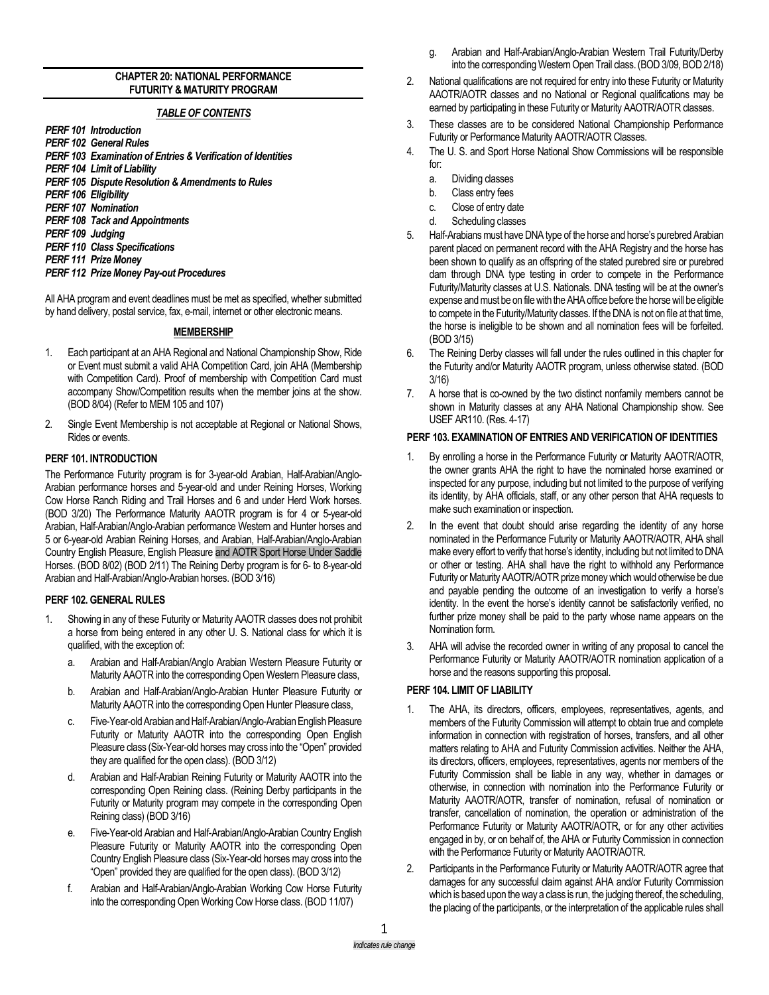### **CHAPTER 20: NATIONAL PERFORMANCE FUTURITY & MATURITY PROGRAM**

### *TABLE OF CONTENTS*

- *PERF 101 Introduction*
- *PERF 102 General Rules PERF 103 Examination of Entries & Verification of Identities*
- *PERF 104 Limit of Liability*
- *PERF 105 Dispute Resolution & Amendments to Rules*
- *PERF 106 Eligibility*
- *PERF 107 Nomination*
- *PERF 108 Tack and Appointments*
- *PERF 109 Judging*
- *PERF 110 Class Specifications*
- *PERF 111 Prize Money*
- *PERF 112 Prize Money Pay-out Procedures*

All AHA program and event deadlines must be met as specified, whether submitted by hand delivery, postal service, fax, e-mail, internet or other electronic means.

## **MEMBERSHIP**

- 1. Each participant at an AHA Regional and National Championship Show, Ride or Event must submit a valid AHA Competition Card, join AHA (Membership with Competition Card). Proof of membership with Competition Card must accompany Show/Competition results when the member joins at the show. (BOD 8/04) (Refer to MEM 105 and 107)
- 2. Single Event Membership is not acceptable at Regional or National Shows, Rides or events.

## **PERF 101. INTRODUCTION**

The Performance Futurity program is for 3-year-old Arabian, Half-Arabian/Anglo-Arabian performance horses and 5-year-old and under Reining Horses, Working Cow Horse Ranch Riding and Trail Horses and 6 and under Herd Work horses. (BOD 3/20) The Performance Maturity AAOTR program is for 4 or 5-year-old Arabian, Half-Arabian/Anglo-Arabian performance Western and Hunter horses and 5 or 6-year-old Arabian Reining Horses, and Arabian, Half-Arabian/Anglo-Arabian Country English Pleasure, English Pleasure and AOTR Sport Horse Under Saddle Horses. (BOD 8/02) (BOD 2/11) The Reining Derby program is for 6- to 8-year-old Arabian and Half-Arabian/Anglo-Arabian horses. (BOD 3/16)

### **PERF 102. GENERAL RULES**

- 1. Showing in any of these Futurity or Maturity AAOTR classes does not prohibit a horse from being entered in any other U. S. National class for which it is qualified, with the exception of:
	- a. Arabian and Half-Arabian/Anglo Arabian Western Pleasure Futurity or Maturity AAOTR into the corresponding Open Western Pleasure class,
	- b. Arabian and Half-Arabian/Anglo-Arabian Hunter Pleasure Futurity or Maturity AAOTR into the corresponding Open Hunter Pleasure class,
	- c. Five-Year-old Arabian and Half-Arabian/Anglo-Arabian English Pleasure Futurity or Maturity AAOTR into the corresponding Open English Pleasure class (Six-Year-old horses may cross into the "Open" provided they are qualified for the open class). (BOD 3/12)
	- d. Arabian and Half-Arabian Reining Futurity or Maturity AAOTR into the corresponding Open Reining class. (Reining Derby participants in the Futurity or Maturity program may compete in the corresponding Open Reining class) (BOD 3/16)
	- e. Five-Year-old Arabian and Half-Arabian/Anglo-Arabian Country English Pleasure Futurity or Maturity AAOTR into the corresponding Open Country English Pleasure class (Six-Year-old horses may cross into the "Open" provided they are qualified for the open class). (BOD 3/12)
	- f. Arabian and Half-Arabian/Anglo-Arabian Working Cow Horse Futurity into the corresponding Open Working Cow Horse class. (BOD 11/07)
- g. Arabian and Half-Arabian/Anglo-Arabian Western Trail Futurity/Derby into the corresponding Western Open Trail class. (BOD 3/09, BOD 2/18)
- 2. National qualifications are not required for entry into these Futurity or Maturity AAOTR/AOTR classes and no National or Regional qualifications may be earned by participating in these Futurity or Maturity AAOTR/AOTR classes.
- 3. These classes are to be considered National Championship Performance Futurity or Performance Maturity AAOTR/AOTR Classes.
- 4. The U. S. and Sport Horse National Show Commissions will be responsible for:
	- a. Dividing classes
	- b. Class entry fees
	- c. Close of entry date
	- d. Scheduling classes
- 5. Half-Arabians must have DNA type of the horse and horse's purebred Arabian parent placed on permanent record with the AHA Registry and the horse has been shown to qualify as an offspring of the stated purebred sire or purebred dam through DNA type testing in order to compete in the Performance Futurity/Maturity classes at U.S. Nationals. DNA testing will be at the owner's expense and must be on file with the AHA office before the horse will be eligible to compete in the Futurity/Maturity classes. If the DNA is not on file at that time, the horse is ineligible to be shown and all nomination fees will be forfeited. (BOD 3/15)
- 6. The Reining Derby classes will fall under the rules outlined in this chapter for the Futurity and/or Maturity AAOTR program, unless otherwise stated. (BOD 3/16)
- 7. A horse that is co-owned by the two distinct nonfamily members cannot be shown in Maturity classes at any AHA National Championship show. See USEF AR110. (Res. 4-17)

## **PERF 103. EXAMINATION OF ENTRIES AND VERIFICATION OF IDENTITIES**

- 1. By enrolling a horse in the Performance Futurity or Maturity AAOTR/AOTR, the owner grants AHA the right to have the nominated horse examined or inspected for any purpose, including but not limited to the purpose of verifying its identity, by AHA officials, staff, or any other person that AHA requests to make such examination or inspection.
- 2. In the event that doubt should arise regarding the identity of any horse nominated in the Performance Futurity or Maturity AAOTR/AOTR, AHA shall make every effort to verify that horse's identity, including but not limited to DNA or other or testing. AHA shall have the right to withhold any Performance Futurity or Maturity AAOTR/AOTR prize money which would otherwise be due and payable pending the outcome of an investigation to verify a horse's identity. In the event the horse's identity cannot be satisfactorily verified, no further prize money shall be paid to the party whose name appears on the Nomination form.
- 3. AHA will advise the recorded owner in writing of any proposal to cancel the Performance Futurity or Maturity AAOTR/AOTR nomination application of a horse and the reasons supporting this proposal.

# **PERF 104. LIMIT OF LIABILITY**

- The AHA, its directors, officers, employees, representatives, agents, and members of the Futurity Commission will attempt to obtain true and complete information in connection with registration of horses, transfers, and all other matters relating to AHA and Futurity Commission activities. Neither the AHA, its directors, officers, employees, representatives, agents nor members of the Futurity Commission shall be liable in any way, whether in damages or otherwise, in connection with nomination into the Performance Futurity or Maturity AAOTR/AOTR, transfer of nomination, refusal of nomination or transfer, cancellation of nomination, the operation or administration of the Performance Futurity or Maturity AAOTR/AOTR, or for any other activities engaged in by, or on behalf of, the AHA or Futurity Commission in connection with the Performance Futurity or Maturity AAOTR/AOTR.
- 2. Participants in the Performance Futurity or Maturity AAOTR/AOTR agree that damages for any successful claim against AHA and/or Futurity Commission which is based upon the way a class is run, the judging thereof, the scheduling, the placing of the participants, or the interpretation of the applicable rules shall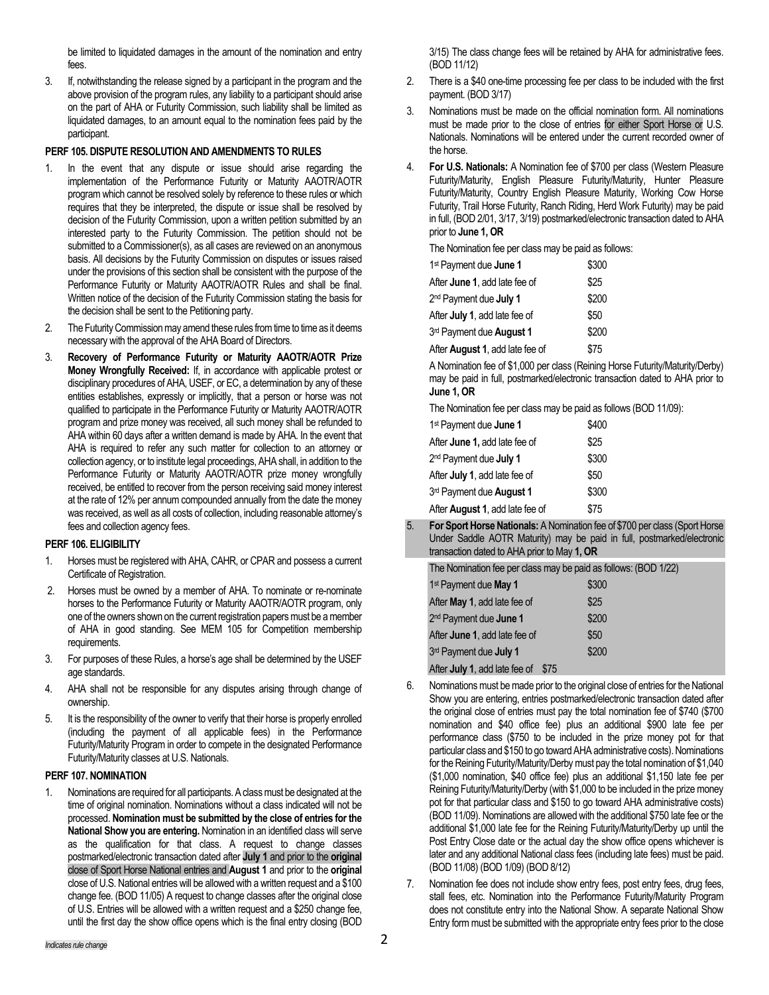be limited to liquidated damages in the amount of the nomination and entry fees.

3. If, notwithstanding the release signed by a participant in the program and the above provision of the program rules, any liability to a participant should arise on the part of AHA or Futurity Commission, such liability shall be limited as liquidated damages, to an amount equal to the nomination fees paid by the participant.

### **PERF 105. DISPUTE RESOLUTION AND AMENDMENTS TO RULES**

- In the event that any dispute or issue should arise regarding the implementation of the Performance Futurity or Maturity AAOTR/AOTR program which cannot be resolved solely by reference to these rules or which requires that they be interpreted, the dispute or issue shall be resolved by decision of the Futurity Commission, upon a written petition submitted by an interested party to the Futurity Commission. The petition should not be submitted to a Commissioner(s), as all cases are reviewed on an anonymous basis. All decisions by the Futurity Commission on disputes or issues raised under the provisions of this section shall be consistent with the purpose of the Performance Futurity or Maturity AAOTR/AOTR Rules and shall be final. Written notice of the decision of the Futurity Commission stating the basis for the decision shall be sent to the Petitioning party.
- 2. The Futurity Commission may amend these rules from time to time as it deems necessary with the approval of the AHA Board of Directors.
- 3. **Recovery of Performance Futurity or Maturity AAOTR/AOTR Prize Money Wrongfully Received:** If, in accordance with applicable protest or disciplinary procedures of AHA, USEF, or EC, a determination by any of these entities establishes, expressly or implicitly, that a person or horse was not qualified to participate in the Performance Futurity or Maturity AAOTR/AOTR program and prize money was received, all such money shall be refunded to AHA within 60 days after a written demand is made by AHA. In the event that AHA is required to refer any such matter for collection to an attorney or collection agency, or to institute legal proceedings, AHA shall, in addition to the Performance Futurity or Maturity AAOTR/AOTR prize money wrongfully received, be entitled to recover from the person receiving said money interest at the rate of 12% per annum compounded annually from the date the money was received, as well as all costs of collection, including reasonable attorney's fees and collection agency fees.

#### **PERF 106. ELIGIBILITY**

- 1. Horses must be registered with AHA, CAHR, or CPAR and possess a current Certificate of Registration.
- 2. Horses must be owned by a member of AHA. To nominate or re-nominate horses to the Performance Futurity or Maturity AAOTR/AOTR program, only one of the owners shown on the current registration papers must be a member of AHA in good standing. See MEM 105 for Competition membership requirements.
- 3. For purposes of these Rules, a horse's age shall be determined by the USEF age standards.
- 4. AHA shall not be responsible for any disputes arising through change of ownership.
- 5. It is the responsibility of the owner to verify that their horse is properly enrolled (including the payment of all applicable fees) in the Performance Futurity/Maturity Program in order to compete in the designated Performance Futurity/Maturity classes at U.S. Nationals.

#### **PERF 107. NOMINATION**

Nominations are required for all participants. A class must be designated at the time of original nomination. Nominations without a class indicated will not be processed. **Nomination must be submitted by the close of entries for the National Show you are entering.** Nomination in an identified class will serve as the qualification for that class. A request to change classes postmarked/electronic transaction dated after **July 1** and prior to the **original** close of Sport Horse National entries and **August 1** and prior to the **original** close of U.S. National entries will be allowed with a written request and a \$100 change fee. (BOD 11/05) A request to change classes after the original close of U.S. Entries will be allowed with a written request and a \$250 change fee, until the first day the show office opens which is the final entry closing (BOD

3/15) The class change fees will be retained by AHA for administrative fees. (BOD 11/12)

- 2. There is a \$40 one-time processing fee per class to be included with the first payment. (BOD 3/17)
- 3. Nominations must be made on the official nomination form. All nominations must be made prior to the close of entries for either Sport Horse or U.S. Nationals. Nominations will be entered under the current recorded owner of the horse.
- 4. **For U.S. Nationals:** A Nomination fee of \$700 per class (Western Pleasure Futurity/Maturity, English Pleasure Futurity/Maturity, Hunter Pleasure Futurity/Maturity, Country English Pleasure Maturity, Working Cow Horse Futurity, Trail Horse Futurity, Ranch Riding, Herd Work Futurity) may be paid in full, (BOD 2/01, 3/17, 3/19) postmarked/electronic transaction dated to AHA prior to **June 1, OR**

The Nomination fee per class may be paid as follows:

| 1 <sup>st</sup> Payment due June 1      | \$300 |
|-----------------------------------------|-------|
| After June 1, add late fee of           | \$25  |
| 2 <sup>nd</sup> Payment due July 1      | \$200 |
| After July 1, add late fee of           | \$50  |
| 3rd Payment due August 1                | \$200 |
| After <b>August 1</b> , add late fee of | \$75  |

A Nomination fee of \$1,000 per class (Reining Horse Futurity/Maturity/Derby) may be paid in full, postmarked/electronic transaction dated to AHA prior to **June 1, OR**

The Nomination fee per class may be paid as follows (BOD 11/09):

| 1 <sup>st</sup> Payment due <b>June 1</b> | \$400 |
|-------------------------------------------|-------|
| After June 1, add late fee of             | \$25  |
| 2 <sup>nd</sup> Payment due July 1        | \$300 |
| After July 1, add late fee of             | \$50  |
| 3rd Payment due <b>August 1</b>           | \$300 |
| After August 1, add late fee of           | \$75  |

5. **For Sport Horse Nationals:** A Nomination fee of \$700 per class (Sport Horse Under Saddle AOTR Maturity) may be paid in full, postmarked/electronic transaction dated to AHA prior to May **1, OR**

| The Nomination fee per class may be paid as follows: (BOD 1/22) |       |  |
|-----------------------------------------------------------------|-------|--|
| 1 <sup>st</sup> Payment due May 1                               | \$300 |  |
| After May 1, add late fee of                                    | \$25  |  |
| 2 <sup>nd</sup> Payment due <b>June 1</b>                       | \$200 |  |
| After June 1, add late fee of                                   | \$50  |  |
| 3rd Payment due July 1                                          | \$200 |  |
| After July 1, add late fee of                                   | \$75  |  |

- 6. Nominations must be made prior to the original close of entries for the National Show you are entering, entries postmarked/electronic transaction dated after the original close of entries must pay the total nomination fee of \$740 (\$700 nomination and \$40 office fee) plus an additional \$900 late fee per performance class (\$750 to be included in the prize money pot for that particular class and \$150 to go toward AHA administrative costs). Nominations for the Reining Futurity/Maturity/Derby must pay the total nomination of \$1,040 (\$1,000 nomination, \$40 office fee) plus an additional \$1,150 late fee per Reining Futurity/Maturity/Derby (with \$1,000 to be included in the prize money pot for that particular class and \$150 to go toward AHA administrative costs) (BOD 11/09). Nominations are allowed with the additional \$750 late fee or the additional \$1,000 late fee for the Reining Futurity/Maturity/Derby up until the Post Entry Close date or the actual day the show office opens whichever is later and any additional National class fees (including late fees) must be paid. (BOD 11/08) (BOD 1/09) (BOD 8/12)
- 7. Nomination fee does not include show entry fees, post entry fees, drug fees, stall fees, etc. Nomination into the Performance Futurity/Maturity Program does not constitute entry into the National Show. A separate National Show Entry form must be submitted with the appropriate entry fees prior to the close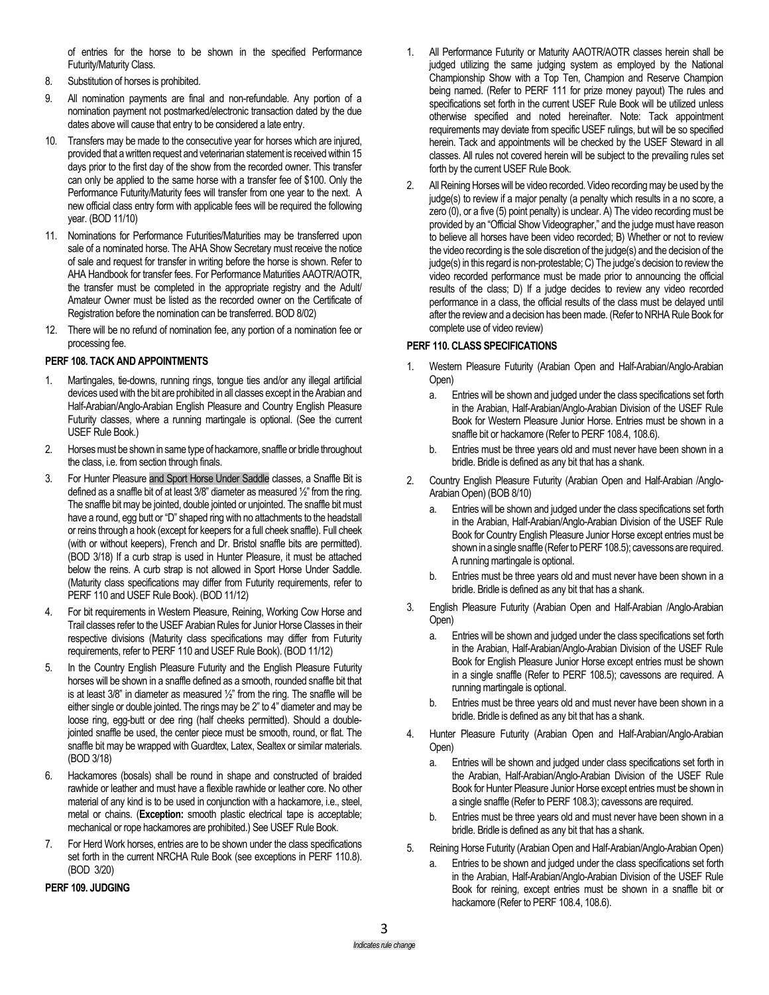of entries for the horse to be shown in the specified Performance Futurity/Maturity Class.

- 8. Substitution of horses is prohibited.
- 9. All nomination payments are final and non-refundable. Any portion of a nomination payment not postmarked/electronic transaction dated by the due dates above will cause that entry to be considered a late entry.
- 10. Transfers may be made to the consecutive year for horses which are injured, provided that a written request and veterinarian statement is received within 15 days prior to the first day of the show from the recorded owner. This transfer can only be applied to the same horse with a transfer fee of \$100. Only the Performance Futurity/Maturity fees will transfer from one year to the next. A new official class entry form with applicable fees will be required the following year. (BOD 11/10)
- 11. Nominations for Performance Futurities/Maturities may be transferred upon sale of a nominated horse. The AHA Show Secretary must receive the notice of sale and request for transfer in writing before the horse is shown. Refer to AHA Handbook for transfer fees. For Performance Maturities AAOTR/AOTR, the transfer must be completed in the appropriate registry and the Adult/ Amateur Owner must be listed as the recorded owner on the Certificate of Registration before the nomination can be transferred. BOD 8/02)
- 12. There will be no refund of nomination fee, any portion of a nomination fee or processing fee.

## **PERF 108. TACK AND APPOINTMENTS**

- Martingales, tie-downs, running rings, tongue ties and/or any illegal artificial devices used with the bit are prohibited in all classes except in the Arabian and Half-Arabian/Anglo-Arabian English Pleasure and Country English Pleasure Futurity classes, where a running martingale is optional. (See the current USEF Rule Book.)
- 2. Horses must be shown in same type of hackamore, snaffle or bridle throughout the class, i.e. from section through finals.
- 3. For Hunter Pleasure and Sport Horse Under Saddle classes, a Snaffle Bit is defined as a snaffle bit of at least 3/8" diameter as measured ½" from the ring. The snaffle bit may be jointed, double jointed or unjointed. The snaffle bit must have a round, egg butt or "D" shaped ring with no attachments to the headstall or reins through a hook (except for keepers for a full cheek snaffle). Full cheek (with or without keepers), French and Dr. Bristol snaffle bits are permitted). (BOD 3/18) If a curb strap is used in Hunter Pleasure, it must be attached below the reins. A curb strap is not allowed in Sport Horse Under Saddle. (Maturity class specifications may differ from Futurity requirements, refer to PERF 110 and USEF Rule Book). (BOD 11/12)
- 4. For bit requirements in Western Pleasure, Reining, Working Cow Horse and Trail classes refer to the USEF Arabian Rules for Junior Horse Classes in their respective divisions (Maturity class specifications may differ from Futurity requirements, refer to PERF 110 and USEF Rule Book). (BOD 11/12)
- 5. In the Country English Pleasure Futurity and the English Pleasure Futurity horses will be shown in a snaffle defined as a smooth, rounded snaffle bit that is at least  $3/8$ " in diameter as measured  $\frac{1}{2}$ " from the ring. The snaffle will be either single or double jointed. The rings may be 2" to 4" diameter and may be loose ring, egg-butt or dee ring (half cheeks permitted). Should a doublejointed snaffle be used, the center piece must be smooth, round, or flat. The snaffle bit may be wrapped with Guardtex, Latex, Sealtex or similar materials. (BOD 3/18)
- 6. Hackamores (bosals) shall be round in shape and constructed of braided rawhide or leather and must have a flexible rawhide or leather core. No other material of any kind is to be used in conjunction with a hackamore, i.e., steel, metal or chains. (**Exception:** smooth plastic electrical tape is acceptable; mechanical or rope hackamores are prohibited.) See USEF Rule Book.
- 7. For Herd Work horses, entries are to be shown under the class specifications set forth in the current NRCHA Rule Book (see exceptions in PERF 110.8). (BOD 3/20)

### **PERF 109. JUDGING**

- 1. All Performance Futurity or Maturity AAOTR/AOTR classes herein shall be judged utilizing the same judging system as employed by the National Championship Show with a Top Ten, Champion and Reserve Champion being named. (Refer to PERF 111 for prize money payout) The rules and specifications set forth in the current USEF Rule Book will be utilized unless otherwise specified and noted hereinafter. Note: Tack appointment requirements may deviate from specific USEF rulings, but will be so specified herein. Tack and appointments will be checked by the USEF Steward in all classes. All rules not covered herein will be subject to the prevailing rules set forth by the current USEF Rule Book.
- 2. All Reining Horses will be video recorded. Video recording may be used by the judge(s) to review if a major penalty (a penalty which results in a no score, a zero (0), or a five (5) point penalty) is unclear. A) The video recording must be provided by an "Official Show Videographer," and the judge must have reason to believe all horses have been video recorded; B) Whether or not to review the video recording is the sole discretion of the judge(s) and the decision of the judge(s) in this regard is non-protestable; C) The judge's decision to review the video recorded performance must be made prior to announcing the official results of the class; D) If a judge decides to review any video recorded performance in a class, the official results of the class must be delayed until after the review and a decision has been made. (Refer to NRHA Rule Book for complete use of video review)

## **PERF 110. CLASS SPECIFICATIONS**

- 1. Western Pleasure Futurity (Arabian Open and Half-Arabian/Anglo-Arabian Open)
	- a. Entries will be shown and judged under the class specifications set forth in the Arabian, Half-Arabian/Anglo-Arabian Division of the USEF Rule Book for Western Pleasure Junior Horse. Entries must be shown in a snaffle bit or hackamore (Refer to PERF 108.4, 108.6).
	- b. Entries must be three years old and must never have been shown in a bridle. Bridle is defined as any bit that has a shank.
- 2. Country English Pleasure Futurity (Arabian Open and Half-Arabian /Anglo-Arabian Open) (BOB 8/10)
	- a. Entries will be shown and judged under the class specifications set forth in the Arabian, Half-Arabian/Anglo-Arabian Division of the USEF Rule Book for Country English Pleasure Junior Horse except entries must be shown in a single snaffle (Refer to PERF 108.5); cavessons are required. A running martingale is optional.
	- Entries must be three years old and must never have been shown in a bridle. Bridle is defined as any bit that has a shank.
- 3. English Pleasure Futurity (Arabian Open and Half-Arabian /Anglo-Arabian Open)
	- a. Entries will be shown and judged under the class specifications set forth in the Arabian, Half-Arabian/Anglo-Arabian Division of the USEF Rule Book for English Pleasure Junior Horse except entries must be shown in a single snaffle (Refer to PERF 108.5); cavessons are required. A running martingale is optional.
	- b. Entries must be three years old and must never have been shown in a bridle. Bridle is defined as any bit that has a shank.
- 4. Hunter Pleasure Futurity (Arabian Open and Half-Arabian/Anglo-Arabian Open)
	- a. Entries will be shown and judged under class specifications set forth in the Arabian, Half-Arabian/Anglo-Arabian Division of the USEF Rule Book for Hunter Pleasure Junior Horse except entries must be shown in a single snaffle (Refer to PERF 108.3); cavessons are required.
	- b. Entries must be three years old and must never have been shown in a bridle. Bridle is defined as any bit that has a shank.
- 5. Reining Horse Futurity (Arabian Open and Half-Arabian/Anglo-Arabian Open)
	- a. Entries to be shown and judged under the class specifications set forth in the Arabian, Half-Arabian/Anglo-Arabian Division of the USEF Rule Book for reining, except entries must be shown in a snaffle bit or hackamore (Refer to PERF 108.4, 108.6).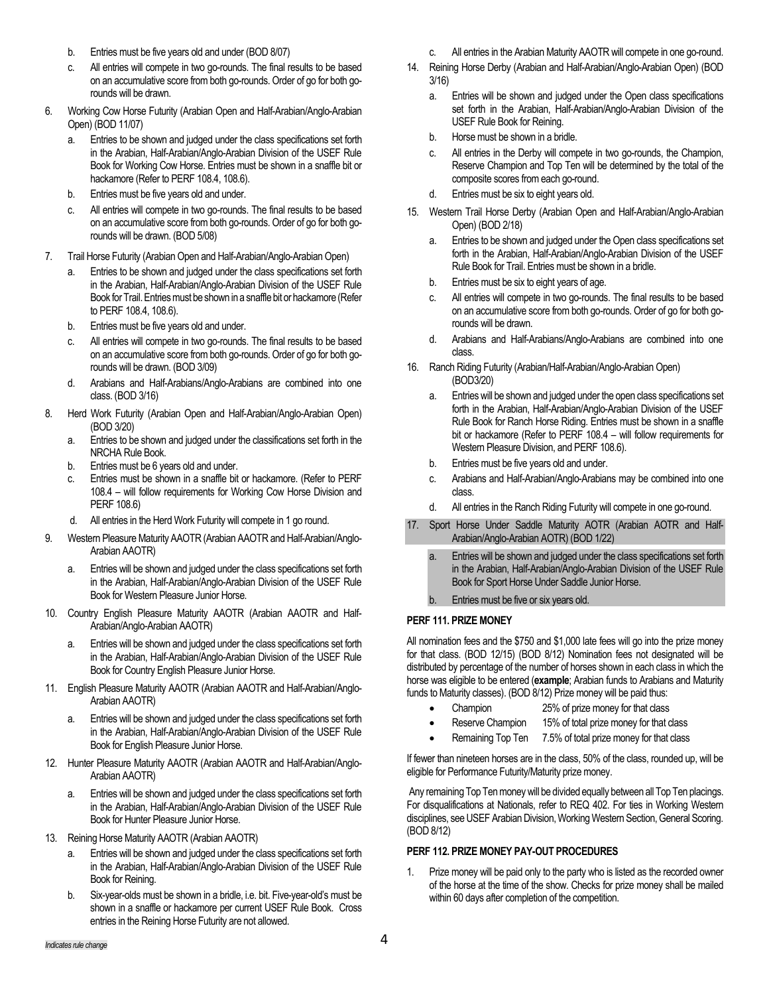- b. Entries must be five years old and under (BOD 8/07)
- c. All entries will compete in two go-rounds. The final results to be based on an accumulative score from both go-rounds. Order of go for both gorounds will be drawn.
- 6. Working Cow Horse Futurity (Arabian Open and Half-Arabian/Anglo-Arabian Open) (BOD 11/07)
	- a. Entries to be shown and judged under the class specifications set forth in the Arabian, Half-Arabian/Anglo-Arabian Division of the USEF Rule Book for Working Cow Horse. Entries must be shown in a snaffle bit or hackamore (Refer to PERF 108.4, 108.6).
	- b. Entries must be five years old and under.
	- c. All entries will compete in two go-rounds. The final results to be based on an accumulative score from both go-rounds. Order of go for both gorounds will be drawn. (BOD 5/08)
- 7. Trail Horse Futurity (Arabian Open and Half-Arabian/Anglo-Arabian Open)
	- a. Entries to be shown and judged under the class specifications set forth in the Arabian, Half-Arabian/Anglo-Arabian Division of the USEF Rule Book for Trail. Entries must be shown in a snaffle bit or hackamore (Refer to PERF 108.4, 108.6).
	- b. Entries must be five years old and under.
	- c. All entries will compete in two go-rounds. The final results to be based on an accumulative score from both go-rounds. Order of go for both gorounds will be drawn. (BOD 3/09)
	- d. Arabians and Half-Arabians/Anglo-Arabians are combined into one class. (BOD 3/16)
- 8. Herd Work Futurity (Arabian Open and Half-Arabian/Anglo-Arabian Open) (BOD 3/20)
	- a. Entries to be shown and judged under the classifications set forth in the NRCHA Rule Book.
	- b. Entries must be 6 years old and under.
	- c. Entries must be shown in a snaffle bit or hackamore. (Refer to PERF 108.4 – will follow requirements for Working Cow Horse Division and PERF 108.6)
	- d. All entries in the Herd Work Futurity will compete in 1 go round.
- 9. Western Pleasure Maturity AAOTR (Arabian AAOTR and Half-Arabian/Anglo-Arabian AAOTR)
	- a. Entries will be shown and judged under the class specifications set forth in the Arabian, Half-Arabian/Anglo-Arabian Division of the USEF Rule Book for Western Pleasure Junior Horse.
- 10. Country English Pleasure Maturity AAOTR (Arabian AAOTR and Half-Arabian/Anglo-Arabian AAOTR)
	- a. Entries will be shown and judged under the class specifications set forth in the Arabian, Half-Arabian/Anglo-Arabian Division of the USEF Rule Book for Country English Pleasure Junior Horse.
- 11. English Pleasure Maturity AAOTR (Arabian AAOTR and Half-Arabian/Anglo-Arabian AAOTR)
	- a. Entries will be shown and judged under the class specifications set forth in the Arabian, Half-Arabian/Anglo-Arabian Division of the USEF Rule Book for English Pleasure Junior Horse.
- 12. Hunter Pleasure Maturity AAOTR (Arabian AAOTR and Half-Arabian/Anglo-Arabian AAOTR)
	- a. Entries will be shown and judged under the class specifications set forth in the Arabian, Half-Arabian/Anglo-Arabian Division of the USEF Rule Book for Hunter Pleasure Junior Horse.
- 13. Reining Horse Maturity AAOTR (Arabian AAOTR)
	- a. Entries will be shown and judged under the class specifications set forth in the Arabian, Half-Arabian/Anglo-Arabian Division of the USEF Rule Book for Reining.
	- b. Six-year-olds must be shown in a bridle, i.e. bit. Five-year-old's must be shown in a snaffle or hackamore per current USEF Rule Book. Cross entries in the Reining Horse Futurity are not allowed.
- c. All entries in the Arabian Maturity AAOTR will compete in one go-round.
- 14. Reining Horse Derby (Arabian and Half-Arabian/Anglo-Arabian Open) (BOD 3/16)
	- a. Entries will be shown and judged under the Open class specifications set forth in the Arabian, Half-Arabian/Anglo-Arabian Division of the USEF Rule Book for Reining.
	- b. Horse must be shown in a bridle.
	- c. All entries in the Derby will compete in two go-rounds, the Champion, Reserve Champion and Top Ten will be determined by the total of the composite scores from each go-round.
	- d. Entries must be six to eight years old.
- 15. Western Trail Horse Derby (Arabian Open and Half-Arabian/Anglo-Arabian Open) (BOD 2/18)
	- a. Entries to be shown and judged under the Open class specifications set forth in the Arabian, Half-Arabian/Anglo-Arabian Division of the USEF Rule Book for Trail. Entries must be shown in a bridle.
	- b. Entries must be six to eight years of age.
	- c. All entries will compete in two go-rounds. The final results to be based on an accumulative score from both go-rounds. Order of go for both gorounds will be drawn.
	- d. Arabians and Half-Arabians/Anglo-Arabians are combined into one class.
- 16. Ranch Riding Futurity (Arabian/Half-Arabian/Anglo-Arabian Open) (BOD3/20)
	- a. Entries will be shown and judged under the open class specifications set forth in the Arabian, Half-Arabian/Anglo-Arabian Division of the USEF Rule Book for Ranch Horse Riding. Entries must be shown in a snaffle bit or hackamore (Refer to PERF 108.4 – will follow requirements for Western Pleasure Division, and PERF 108.6).
	- b. Entries must be five years old and under.
	- c. Arabians and Half-Arabian/Anglo-Arabians may be combined into one class.
	- d. All entries in the Ranch Riding Futurity will compete in one go-round.
- 17. Sport Horse Under Saddle Maturity AOTR (Arabian AOTR and Half-Arabian/Anglo-Arabian AOTR) (BOD 1/22)
	- Entries will be shown and judged under the class specifications set forth in the Arabian, Half-Arabian/Anglo-Arabian Division of the USEF Rule Book for Sport Horse Under Saddle Junior Horse.
	- Entries must be five or six years old.

## **PERF 111. PRIZE MONEY**

All nomination fees and the \$750 and \$1,000 late fees will go into the prize money for that class. (BOD 12/15) (BOD 8/12) Nomination fees not designated will be distributed by percentage of the number of horses shown in each class in which the horse was eligible to be entered (**example**; Arabian funds to Arabians and Maturity funds to Maturity classes). (BOD 8/12) Prize money will be paid thus:

- Champion 25% of prize money for that class
- Reserve Champion 15% of total prize money for that class
- Remaining Top Ten 7.5% of total prize money for that class

If fewer than nineteen horses are in the class, 50% of the class, rounded up, will be eligible for Performance Futurity/Maturity prize money.

Any remaining Top Ten money will be divided equally between all Top Ten placings. For disqualifications at Nationals, refer to REQ 402. For ties in Working Western disciplines, see USEF Arabian Division, Working Western Section, General Scoring. (BOD 8/12)

# **PERF 112. PRIZE MONEY PAY-OUT PROCEDURES**

Prize money will be paid only to the party who is listed as the recorded owner of the horse at the time of the show. Checks for prize money shall be mailed within 60 days after completion of the competition.